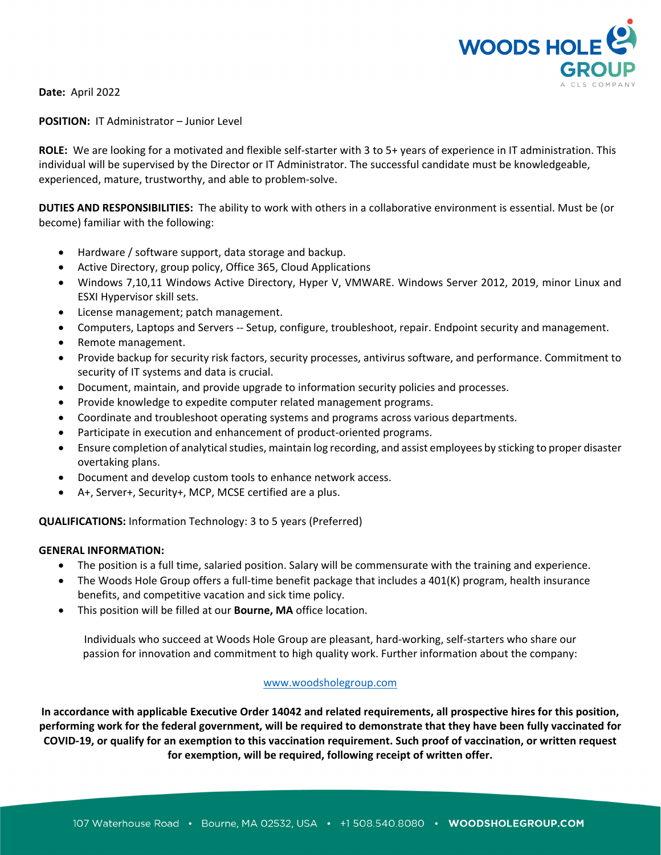

**Date:** April 2022

**POSITION:** IT Administrator – Junior Level

**ROLE:** We are looking for a motivated and flexible self-starter with 3 to 5+ years of experience in IT administration. This individual will be supervised by the Director or IT Administrator. The successful candidate must be knowledgeable, experienced, mature, trustworthy, and able to problem‐solve.

**DUTIES AND RESPONSIBILITIES:** The ability to work with others in a collaborative environment is essential. Must be (or become) familiar with the following:

- Hardware / software support, data storage and backup.
- Active Directory, group policy, Office 365, Cloud Applications
- Windows 7,10,11 Windows Active Directory, Hyper V, VMWARE. Windows Server 2012, 2019, minor Linux and ESXI Hypervisor skill sets.
- License management; patch management.
- Computers, Laptops and Servers ‐‐ Setup, configure, troubleshoot, repair. Endpoint security and management.
- Remote management.
- Provide backup for security risk factors, security processes, antivirus software, and performance. Commitment to security of IT systems and data is crucial.
- Document, maintain, and provide upgrade to information security policies and processes.
- Provide knowledge to expedite computer related management programs.
- Coordinate and troubleshoot operating systems and programs across various departments.
- Participate in execution and enhancement of product‐oriented programs.
- Ensure completion of analytical studies, maintain log recording, and assist employees by sticking to proper disaster overtaking plans.
- Document and develop custom tools to enhance network access.
- A+, Server+, Security+, MCP, MCSE certified are a plus.

**QUALIFICATIONS:** Information Technology: 3 to 5 years (Preferred)

## **GENERAL INFORMATION:**

- The position is a full time, salaried position. Salary will be commensurate with the training and experience.
- The Woods Hole Group offers a full-time benefit package that includes a 401(K) program, health insurance benefits, and competitive vacation and sick time policy.
- This position will be filled at our **Bourne, MA** office location.

Individuals who succeed at Woods Hole Group are pleasant, hard‐working, self‐starters who share our passion for innovation and commitment to high quality work. Further information about the company:

## www.woodsholegroup.com

In accordance with applicable Executive Order 14042 and related requirements, all prospective hires for this position, performing work for the federal government, will be required to demonstrate that they have been fully vaccinated for COVID-19, or qualify for an exemption to this vaccination requirement. Such proof of vaccination, or written request **for exemption, will be required, following receipt of written offer.**